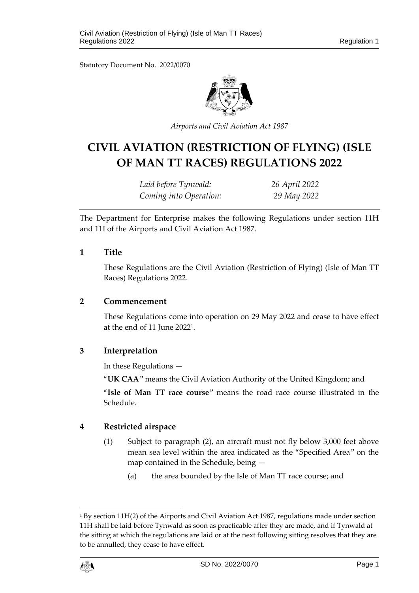Statutory Document No. 2022/0070



*Airports and Civil Aviation Act 1987*

# **CIVIL AVIATION (RESTRICTION OF FLYING) (ISLE OF MAN TT RACES) REGULATIONS 2022**

*Laid before Tynwald: 26 April 2022 Coming into Operation: 29 May 2022*

The Department for Enterprise makes the following Regulations under section 11H and 11I of the Airports and Civil Aviation Act 1987.

## **1 Title**

These Regulations are the Civil Aviation (Restriction of Flying) (Isle of Man TT Races) Regulations 2022.

#### **2 Commencement**

These Regulations come into operation on 29 May 2022 and cease to have effect at the end of 11 June 2022<sup>1</sup> .

# **3 Interpretation**

In these Regulations —

"**UK CAA**" means the Civil Aviation Authority of the United Kingdom; and

"**Isle of Man TT race course**" means the road race course illustrated in the Schedule.

# **4 Restricted airspace**

- (1) Subject to paragraph (2), an aircraft must not fly below 3,000 feet above mean sea level within the area indicated as the "Specified Area" on the map contained in the Schedule, being —
	- (a) the area bounded by the Isle of Man TT race course; and

<sup>&</sup>lt;sup>1</sup> By section 11H(2) of the Airports and Civil Aviation Act 1987, regulations made under section 11H shall be laid before Tynwald as soon as practicable after they are made, and if Tynwald at the sitting at which the regulations are laid or at the next following sitting resolves that they are to be annulled, they cease to have effect.



1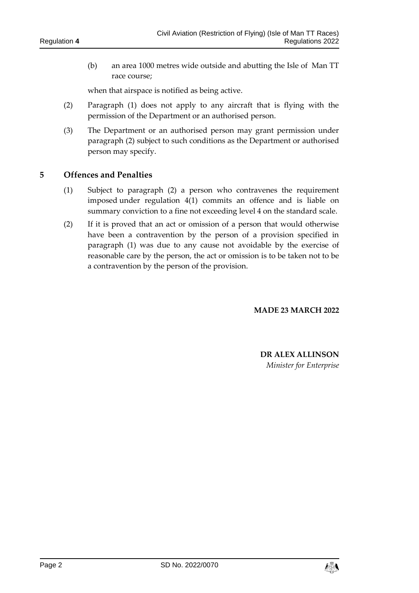(b) an area 1000 metres wide outside and abutting the Isle of Man TT race course;

when that airspace is notified as being active.

- (2) Paragraph (1) does not apply to any aircraft that is flying with the permission of the Department or an authorised person.
- (3) The Department or an authorised person may grant permission under paragraph (2) subject to such conditions as the Department or authorised person may specify.

## **5 Offences and Penalties**

- (1) Subject to paragraph (2) a person who contravenes the requirement imposed under regulation 4(1) commits an offence and is liable on summary conviction to a fine not exceeding level 4 on the standard scale.
- (2) If it is proved that an act or omission of a person that would otherwise have been a contravention by the person of a provision specified in paragraph (1) was due to any cause not avoidable by the exercise of reasonable care by the person, the act or omission is to be taken not to be a contravention by the person of the provision.

**MADE 23 MARCH 2022**

**DR ALEX ALLINSON** *Minister for Enterprise*

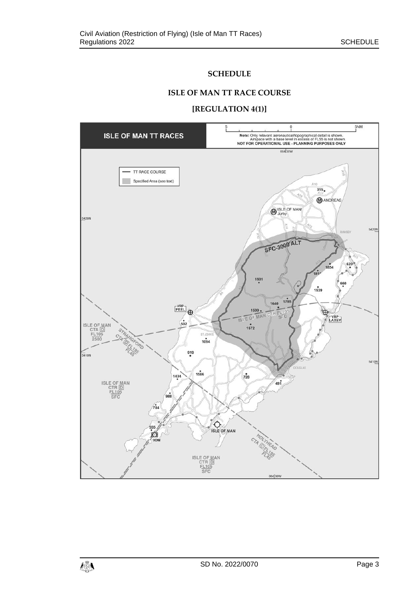# **SCHEDULE**

#### **ISLE OF MAN TT RACE COURSE**

#### **[REGULATION 4(1)]**